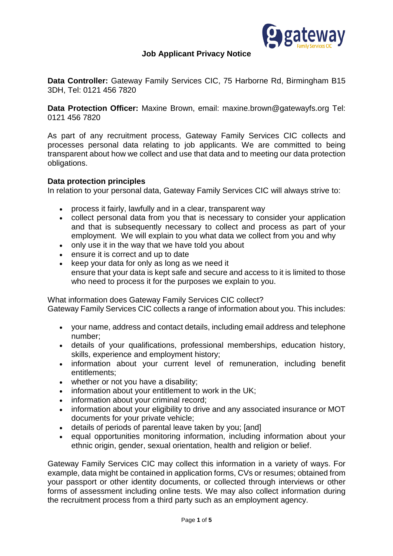

# **Job Applicant Privacy Notice**

**Data Controller:** Gateway Family Services CIC, 75 Harborne Rd, Birmingham B15 3DH, Tel: 0121 456 7820

**Data Protection Officer:** Maxine Brown, email: [maxine.brown@gatewayfs.org](mailto:maxine.brown@gatewayfs.org) Tel: 0121 456 7820

As part of any recruitment process, Gateway Family Services CIC collects and processes personal data relating to job applicants. We are committed to being transparent about how we collect and use that data and to meeting our data protection obligations.

# **Data protection principles**

In relation to your personal data, Gateway Family Services CIC will always strive to:

- process it fairly, lawfully and in a clear, transparent way
- collect personal data from you that is necessary to consider your application and that is subsequently necessary to collect and process as part of your employment. We will explain to you what data we collect from you and why
- only use it in the way that we have told you about
- ensure it is correct and up to date
- $\bullet$  keep your data for only as long as we need it ensure that your data is kept safe and secure and access to it is limited to those who need to process it for the purposes we explain to you.

What information does Gateway Family Services CIC collect? Gateway Family Services CIC collects a range of information about you. This includes:

- - your name, address and contact details, including email address and telephone number;
	- details of your qualifications, professional memberships, education history, skills, experience and employment history;
	- information about your current level of remuneration, including benefit entitlements;
	- whether or not you have a disability;
	- information about your entitlement to work in the UK;
	- information about your criminal record;
	- information about your eligibility to drive and any associated insurance or MOT documents for your private vehicle;
	- details of periods of parental leave taken by you; [and]
	- equal opportunities monitoring information, including information about your ethnic origin, gender, sexual orientation, health and religion or belief.

Gateway Family Services CIC may collect this information in a variety of ways. For example, data might be contained in application forms, CVs or resumes; obtained from your passport or other identity documents, or collected through interviews or other forms of assessment including online tests. We may also collect information during the recruitment process from a third party such as an employment agency.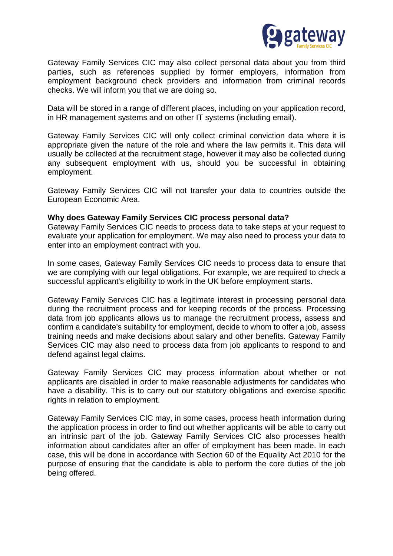

Gateway Family Services CIC may also collect personal data about you from third parties, such as references supplied by former employers, information from employment background check providers and information from criminal records checks. We will inform you that we are doing so.

Data will be stored in a range of different places, including on your application record, in HR management systems and on other IT systems (including email).

Gateway Family Services CIC will only collect criminal conviction data where it is appropriate given the nature of the role and where the law permits it. This data will usually be collected at the recruitment stage, however it may also be collected during any subsequent employment with us, should you be successful in obtaining employment.

Gateway Family Services CIC will not transfer your data to countries outside the European Economic Area.

### **Why does Gateway Family Services CIC process personal data?**

Gateway Family Services CIC needs to process data to take steps at your request to evaluate your application for employment. We may also need to process your data to enter into an employment contract with you.

In some cases, Gateway Family Services CIC needs to process data to ensure that we are complying with our legal obligations. For example, we are required to check a successful applicant's eligibility to work in the UK before employment starts.

Gateway Family Services CIC has a legitimate interest in processing personal data during the recruitment process and for keeping records of the process. Processing data from job applicants allows us to manage the recruitment process, assess and confirm a candidate's suitability for employment, decide to whom to offer a job, assess training needs and make decisions about salary and other benefits. Gateway Family Services CIC may also need to process data from job applicants to respond to and defend against legal claims.

Gateway Family Services CIC may process information about whether or not applicants are disabled in order to make reasonable adjustments for candidates who have a disability. This is to carry out our statutory obligations and exercise specific rights in relation to employment.

Gateway Family Services CIC may, in some cases, process heath information during the application process in order to find out whether applicants will be able to carry out an intrinsic part of the job. Gateway Family Services CIC also processes health information about candidates after an offer of employment has been made. In each case, this will be done in accordance with Section 60 of the Equality Act 2010 for the purpose of ensuring that the candidate is able to perform the core duties of the job being offered.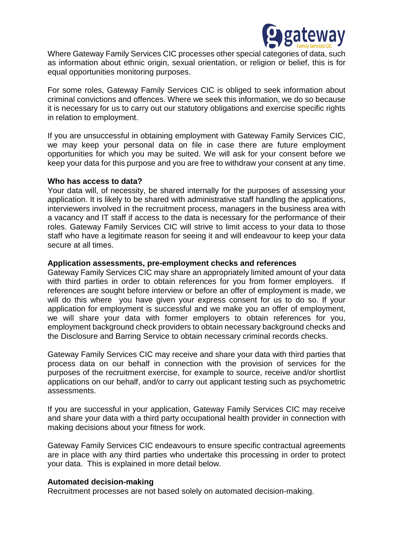

Where Gateway Family Services CIC processes other special categories of data, such as information about ethnic origin, sexual orientation, or religion or belief, this is for equal opportunities monitoring purposes.

For some roles, Gateway Family Services CIC is obliged to seek information about criminal convictions and offences. Where we seek this information, we do so because it is necessary for us to carry out our statutory obligations and exercise specific rights in relation to employment.

If you are unsuccessful in obtaining employment with Gateway Family Services CIC, we may keep your personal data on file in case there are future employment opportunities for which you may be suited. We will ask for your consent before we keep your data for this purpose and you are free to withdraw your consent at any time.

### **Who has access to data?**

Your data will, of necessity, be shared internally for the purposes of assessing your application. It is likely to be shared with administrative staff handling the applications, interviewers involved in the recruitment process, managers in the business area with a vacancy and IT staff if access to the data is necessary for the performance of their roles. Gateway Family Services CIC will strive to limit access to your data to those staff who have a legitimate reason for seeing it and will endeavour to keep your data secure at all times.

### **Application assessments, pre-employment checks and references**

Gateway Family Services CIC may share an appropriately limited amount of your data with third parties in order to obtain references for you from former employers. If references are sought before interview or before an offer of employment is made, we will do this where you have given your express consent for us to do so. If your application for employment is successful and we make you an offer of employment, we will share your data with former employers to obtain references for you, employment background check providers to obtain necessary background checks and the Disclosure and Barring Service to obtain necessary criminal records checks.

Gateway Family Services CIC may receive and share your data with third parties that process data on our behalf in connection with the provision of services for the purposes of the recruitment exercise, for example to source, receive and/or shortlist applications on our behalf, and/or to carry out applicant testing such as psychometric assessments.

If you are successful in your application, Gateway Family Services CIC may receive and share your data with a third party occupational health provider in connection with making decisions about your fitness for work.

Gateway Family Services CIC endeavours to ensure specific contractual agreements are in place with any third parties who undertake this processing in order to protect your data. This is explained in more detail below.

# **Automated decision-making**

Recruitment processes are not based solely on automated decision-making.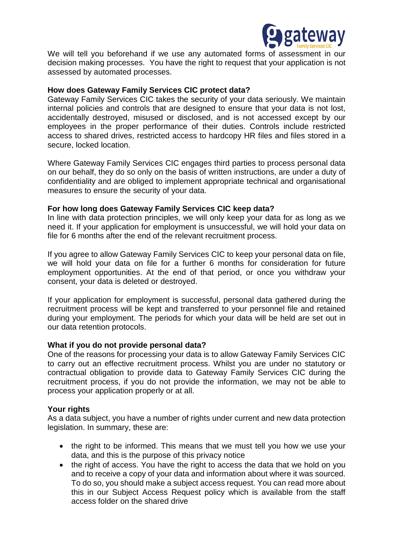

We will tell you beforehand if we use any automated forms of assessment in our decision making processes. You have the right to request that your application is not assessed by automated processes.

# **How does Gateway Family Services CIC protect data?**

Gateway Family Services CIC takes the security of your data seriously. We maintain internal policies and controls that are designed to ensure that your data is not lost, accidentally destroyed, misused or disclosed, and is not accessed except by our employees in the proper performance of their duties. Controls include restricted access to shared drives, restricted access to hardcopy HR files and files stored in a secure, locked location.

Where Gateway Family Services CIC engages third parties to process personal data on our behalf, they do so only on the basis of written instructions, are under a duty of confidentiality and are obliged to implement appropriate technical and organisational measures to ensure the security of your data.

### **For how long does Gateway Family Services CIC keep data?**

In line with data protection principles, we will only keep your data for as long as we need it. If your application for employment is unsuccessful, we will hold your data on file for 6 months after the end of the relevant recruitment process.

If you agree to allow Gateway Family Services CIC to keep your personal data on file, we will hold your data on file for a further 6 months for consideration for future employment opportunities. At the end of that period, or once you withdraw your consent, your data is deleted or destroyed.

If your application for employment is successful, personal data gathered during the recruitment process will be kept and transferred to your personnel file and retained during your employment. The periods for which your data will be held are set out in our data retention protocols.

### **What if you do not provide personal data?**

One of the reasons for processing your data is to allow Gateway Family Services CIC to carry out an effective recruitment process. Whilst you are under no statutory or contractual obligation to provide data to Gateway Family Services CIC during the recruitment process, if you do not provide the information, we may not be able to process your application properly or at all.

### **Your rights**

As a data subject, you have a number of rights under current and new data protection legislation. In summary, these are:

- the right to be informed. This means that we must tell you how we use your data, and this is the purpose of this privacy notice
- the right of access. You have the right to access the data that we hold on you and to receive a copy of your data and information about where it was sourced. To do so, you should make a subject access request. You can read more about this in our Subject Access Request policy which is available from the staff access folder on the shared drive